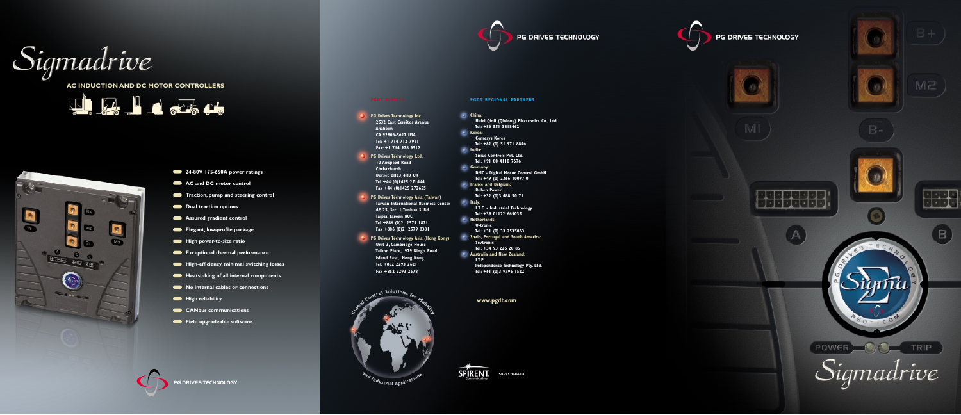# **PG Drives Technology Inc. 2532 East Cerritos Avenue Anaheim CA 92806-5627 USA Tel: +1 714 712 7911 Fax: +1 714 978 9512 PG Drives Technology Ltd. 10 Airspeed Road Christchurch Dorset BH23 4HD UK Tel +44 (0)1425 271444 Fax +44 (0)1425 272655 PG Drives Technology Asia (Taiwan) Taiwan International Business Center 4F, 25, Sec. 1 Tunhua S. Rd. Taipei, Taiwan ROC Tel +886 (0)2 2579 1821 Fax +886 (0)2 2579 8381 PG Drives Technology Asia (Hong Kong) Unit 3, Cambridge House Taikoo Place, 979 King's Road Island East, Hong Kong Tel: +852 2293 2621 Fax +852 2293 2678** Soluti









PG DRIVES TECHNOLOGY

Sigmadrive

**AC INDUCTION AND DC MOTOR CONTROLLERS**

**ELLE LA LA SERIE** 



- **24-80V 175-650A power ratings**
- **AC and DC motor control**
- **Traction, pump and steering control**
- **Dual traction options**
- **Assured gradient control**
- **Elegant, low-profile package**
- $H$  High power-to-size ratio
- **Exceptional thermal performance**
- $\blacksquare$  High-efficiency, minimal switching losses
- $\bullet$  Heatsinking of all internal components
- **No internal cables or connections**
- $H$  High reliability
- **CANDUS communications**
- Field upgradeable software

**www.pgdt.com**



| China:                                      |  |
|---------------------------------------------|--|
| Hefei Qinli (Qinlong) Electronics Co., Ltd. |  |
| Tel: +86 551 3818462                        |  |
| Korea:                                      |  |
| <b>Comesys Korea</b>                        |  |
| Tel: +82 (0) 51 971 8846                    |  |
| India:                                      |  |
| <b>Sirius Controls Pyt. Ltd.</b>            |  |
| Tel: +91 80 4110 7676                       |  |
| Germany:                                    |  |
| DMC - Digital Motor Control GmbH            |  |
| Tel: +49 (0) 2366 10077-0                   |  |
| <b>France and Belgium:</b>                  |  |
| <b>Ruben Power</b>                          |  |
| Tel: +32 (0)3 488 50 71                     |  |
|                                             |  |
| Italy:                                      |  |
| <b>I.T.C. - Industrial Technology</b>       |  |
| Tel: +39 01122 669035                       |  |
| <b>Netherlands:</b>                         |  |
| <b>Q-tronic</b>                             |  |
| Tel: +31 (0) 33 2535063                     |  |
| Spain, Portugal and South America:          |  |
| <b>Sevtronic</b>                            |  |
| Tel: +34 93 226 20 85                       |  |
| Australia and New Zealand:                  |  |
| I.T.P.                                      |  |
| Independence Technology Pty. Ltd.           |  |
| Tel: +61 (0)3 9796 1522                     |  |









 $M<sub>2</sub>$